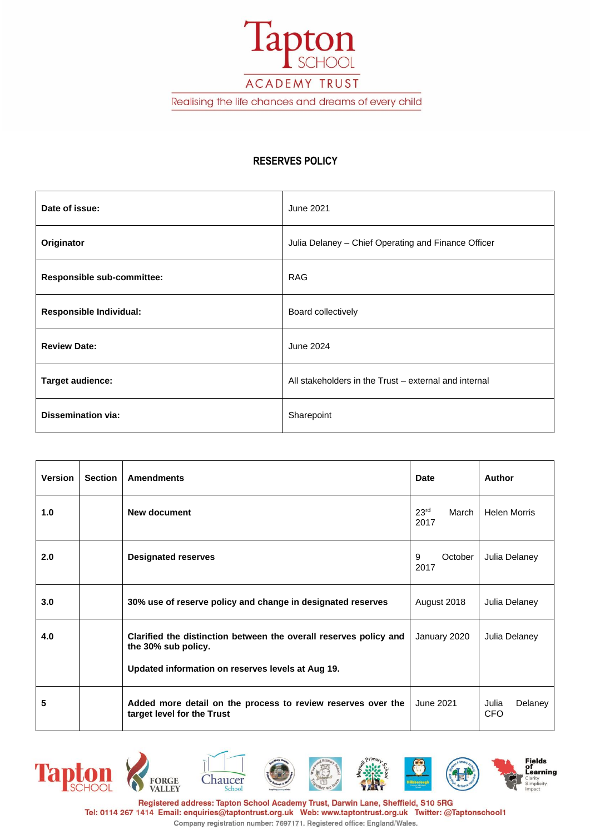ACADEMY TRUST

lapton

SCHOOL

Realising the life chances and dreams of every child

## **RESERVES POLICY**

| Date of issue:                 | June 2021                                             |  |
|--------------------------------|-------------------------------------------------------|--|
| Originator                     | Julia Delaney - Chief Operating and Finance Officer   |  |
| Responsible sub-committee:     | <b>RAG</b>                                            |  |
| <b>Responsible Individual:</b> | Board collectively                                    |  |
| <b>Review Date:</b>            | June 2024                                             |  |
| <b>Target audience:</b>        | All stakeholders in the Trust – external and internal |  |
| <b>Dissemination via:</b>      | Sharepoint                                            |  |

| <b>Version</b> | <b>Section</b> | <b>Amendments</b>                                                                                                                             | <b>Date</b>                       | <b>Author</b>                  |
|----------------|----------------|-----------------------------------------------------------------------------------------------------------------------------------------------|-----------------------------------|--------------------------------|
| 1.0            |                | New document                                                                                                                                  | 23 <sup>rd</sup><br>March<br>2017 | <b>Helen Morris</b>            |
| 2.0            |                | <b>Designated reserves</b>                                                                                                                    | 9<br>October<br>2017              | Julia Delaney                  |
| 3.0            |                | 30% use of reserve policy and change in designated reserves                                                                                   | August 2018                       | Julia Delaney                  |
| 4.0            |                | Clarified the distinction between the overall reserves policy and<br>the 30% sub policy.<br>Updated information on reserves levels at Aug 19. | January 2020                      | Julia Delaney                  |
| 5              |                | Added more detail on the process to review reserves over the<br>target level for the Trust                                                    | June 2021                         | Delaney<br>Julia<br><b>CFO</b> |



Registered address: Tapton School Academy Trust, Darwin Lane, Sheffield, S10 5RG Tel: 0114 267 1414 Email: enquiries@taptontrust.org.uk Web: www.taptontrust.org.uk Twitter: @Taptonschool1 Company registration number: 7697171. Registered office: England/Wales.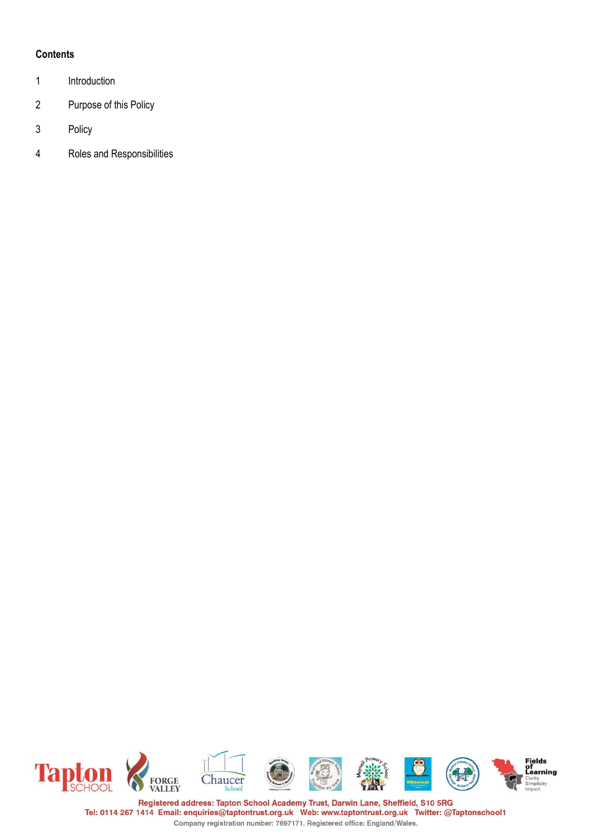# **Contents**

- 1 Introduction
- 2 Purpose of this Policy
- 3 Policy
- 4 Roles and Responsibilities



Registered address: Tapton School Academy Trust, Darwin Lane, Sheffield, S10 5RG Tel: 0114 267 1414 Email: enquiries@taptontrust.org.uk Web: www.taptontrust.org.uk Twitter: @Taptonschool1 Company registration number: 7697171. Registered office: England/Wales.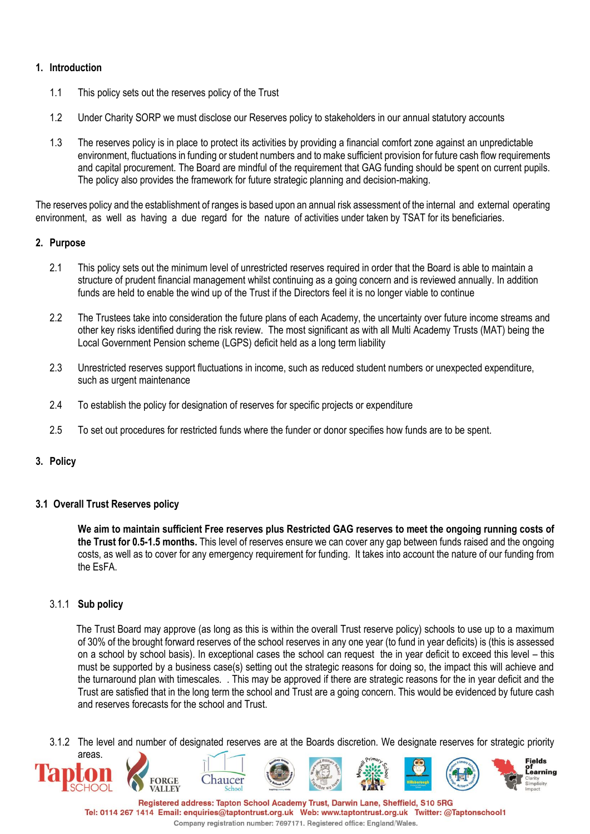## **1. Introduction**

- 1.1 This policy sets out the reserves policy of the Trust
- 1.2 Under Charity SORP we must disclose our Reserves policy to stakeholders in our annual statutory accounts
- 1.3 The reserves policy is in place to protect its activities by providing a financial comfort zone against an unpredictable environment, fluctuations in funding or student numbers and to make sufficient provision for future cash flow requirements and capital procurement. The Board are mindful of the requirement that GAG funding should be spent on current pupils. The policy also provides the framework for future strategic planning and decision-making.

The reserves policy and the establishment of ranges is based upon an annual risk assessment of the internal and external operating environment, as well as having a due regard for the nature of activities under taken by TSAT for its beneficiaries.

# **2. Purpose**

- 2.1 This policy sets out the minimum level of unrestricted reserves required in order that the Board is able to maintain a structure of prudent financial management whilst continuing as a going concern and is reviewed annually. In addition funds are held to enable the wind up of the Trust if the Directors feel it is no longer viable to continue
- 2.2 The Trustees take into consideration the future plans of each Academy, the uncertainty over future income streams and other key risks identified during the risk review. The most significant as with all Multi Academy Trusts (MAT) being the Local Government Pension scheme (LGPS) deficit held as a long term liability
- 2.3 Unrestricted reserves support fluctuations in income, such as reduced student numbers or unexpected expenditure, such as urgent maintenance
- 2.4 To establish the policy for designation of reserves for specific projects or expenditure
- 2.5 To set out procedures for restricted funds where the funder or donor specifies how funds are to be spent.

## **3. Policy**

## **3.1 Overall Trust Reserves policy**

**We aim to maintain sufficient Free reserves plus Restricted GAG reserves to meet the ongoing running costs of the Trust for 0.5-1.5 months.** This level of reserves ensure we can cover any gap between funds raised and the ongoing costs, as well as to cover for any emergency requirement for funding. It takes into account the nature of our funding from the EsFA.

## 3.1.1 **Sub policy**

 The Trust Board may approve (as long as this is within the overall Trust reserve policy) schools to use up to a maximum of 30% of the brought forward reserves of the school reserves in any one year (to fund in year deficits) is (this is assessed on a school by school basis). In exceptional cases the school can request the in year deficit to exceed this level – this must be supported by a business case(s) setting out the strategic reasons for doing so, the impact this will achieve and the turnaround plan with timescales. . This may be approved if there are strategic reasons for the in year deficit and the Trust are satisfied that in the long term the school and Trust are a going concern. This would be evidenced by future cash and reserves forecasts for the school and Trust.

3.1.2 The level and number of designated reserves are at the Boards discretion. We designate reserves for strategic priority



Tel: 0114 267 1414 Email: enquiries@taptontrust.org.uk Web: www.taptontrust.org.uk Twitter: @Taptonschool1 Company registration number: 7697171. Registered office: England/Wales.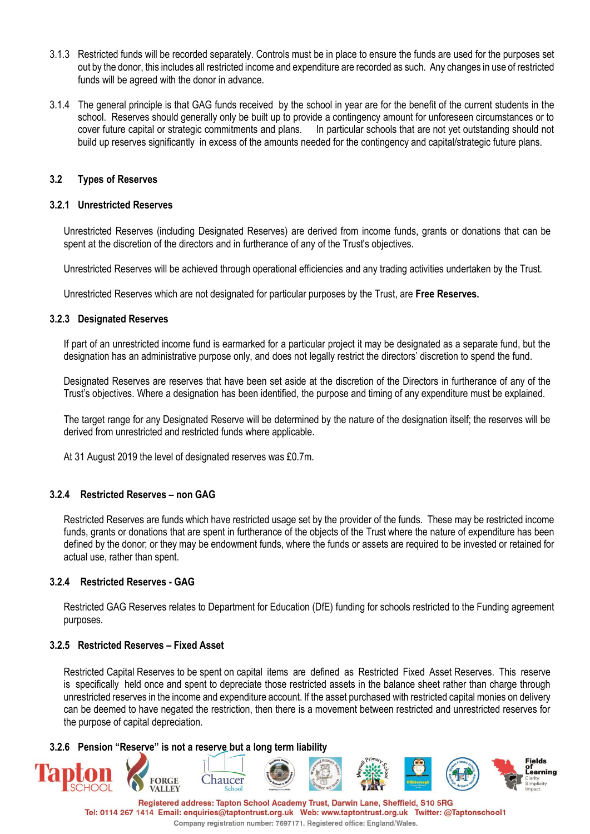- 3.1.3 Restricted funds will be recorded separately. Controls must be in place to ensure the funds are used for the purposes set out by the donor, this includes all restricted income and expenditure are recorded as such. Any changes in use of restricted funds will be agreed with the donor in advance.
- 3.1.4 The general principle is that GAG funds received by the school in year are for the benefit of the current students in the school. Reserves should generally only be built up to provide a contingency amount for unforeseen circumstances or to cover future capital or strategic commitments and plans. In particular schools that are not yet outstanding should not build up reserves significantly in excess of the amounts needed for the contingency and capital/strategic future plans.

### **3.2 Types of Reserves**

#### **3.2.1 Unrestricted Reserves**

Unrestricted Reserves (including Designated Reserves) are derived from income funds, grants or donations that can be spent at the discretion of the directors and in furtherance of any of the Trust's objectives.

Unrestricted Reserves will be achieved through operational efficiencies and any trading activities undertaken by the Trust.

Unrestricted Reserves which are not designated for particular purposes by the Trust, are **Free Reserves.**

#### **3.2.3 Designated Reserves**

If part of an unrestricted income fund is earmarked for a particular project it may be designated as a separate fund, but the designation has an administrative purpose only, and does not legally restrict the directors' discretion to spend the fund.

Designated Reserves are reserves that have been set aside at the discretion of the Directors in furtherance of any of the Trust's objectives. Where a designation has been identified, the purpose and timing of any expenditure must be explained.

The target range for any Designated Reserve will be determined by the nature of the designation itself; the reserves will be derived from unrestricted and restricted funds where applicable.

At 31 August 2019 the level of designated reserves was £0.7m.

## **3.2.4 Restricted Reserves – non GAG**

Restricted Reserves are funds which have restricted usage set by the provider of the funds. These may be restricted income funds, grants or donations that are spent in furtherance of the objects of the Trust where the nature of expenditure has been defined by the donor; or they may be endowment funds, where the funds or assets are required to be invested or retained for actual use, rather than spent.

#### **3.2.4 Restricted Reserves - GAG**

Restricted GAG Reserves relates to Department for Education (DfE) funding for schools restricted to the Funding agreement purposes.

#### **3.2.5 Restricted Reserves – Fixed Asset**

Restricted Capital Reserves to be spent on capital items are defined as Restricted Fixed Asset Reserves. This reserve is specifically held once and spent to depreciate those restricted assets in the balance sheet rather than charge through unrestricted reserves in the income and expenditure account. If the asset purchased with restricted capital monies on delivery can be deemed to have negated the restriction, then there is a movement between restricted and unrestricted reserves for the purpose of capital depreciation.

#### **3.2.6 Pension "Reserve" is not a reserve but a long term liability**



Registered address: Tapton School Academy Trust, Darwin Lane, Sheffield, S10 5RG Tel: 0114 267 1414 Email: enquiries@taptontrust.org.uk Web: www.taptontrust.org.uk Twitter: @Taptonschool1 Company registration number: 7697171. Registered office: England/Wales.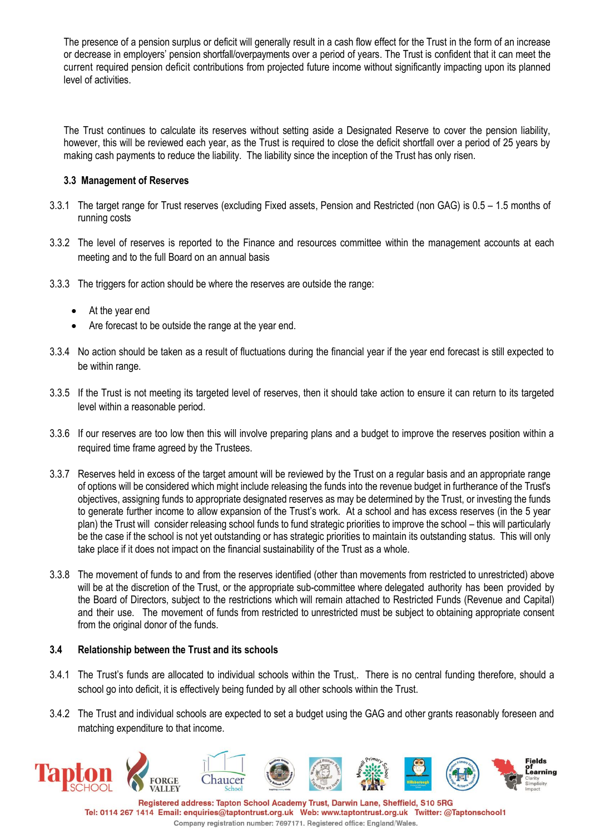The presence of a pension surplus or deficit will generally result in a cash flow effect for the Trust in the form of an increase or decrease in employers' pension shortfall/overpayments over a period of years. The Trust is confident that it can meet the current required pension deficit contributions from projected future income without significantly impacting upon its planned level of activities.

The Trust continues to calculate its reserves without setting aside a Designated Reserve to cover the pension liability, however, this will be reviewed each year, as the Trust is required to close the deficit shortfall over a period of 25 years by making cash payments to reduce the liability. The liability since the inception of the Trust has only risen.

## **3.3 Management of Reserves**

- 3.3.1 The target range for Trust reserves (excluding Fixed assets, Pension and Restricted (non GAG) is 0.5 1.5 months of running costs
- 3.3.2 The level of reserves is reported to the Finance and resources committee within the management accounts at each meeting and to the full Board on an annual basis
- 3.3.3 The triggers for action should be where the reserves are outside the range:
	- At the year end
	- Are forecast to be outside the range at the year end.
- 3.3.4 No action should be taken as a result of fluctuations during the financial year if the year end forecast is still expected to be within range.
- 3.3.5 If the Trust is not meeting its targeted level of reserves, then it should take action to ensure it can return to its targeted level within a reasonable period.
- 3.3.6 If our reserves are too low then this will involve preparing plans and a budget to improve the reserves position within a required time frame agreed by the Trustees.
- 3.3.7 Reserves held in excess of the target amount will be reviewed by the Trust on a regular basis and an appropriate range of options will be considered which might include releasing the funds into the revenue budget in furtherance of the Trust's objectives, assigning funds to appropriate designated reserves as may be determined by the Trust, or investing the funds to generate further income to allow expansion of the Trust's work. At a school and has excess reserves (in the 5 year plan) the Trust will consider releasing school funds to fund strategic priorities to improve the school – this will particularly be the case if the school is not yet outstanding or has strategic priorities to maintain its outstanding status. This will only take place if it does not impact on the financial sustainability of the Trust as a whole.
- 3.3.8 The movement of funds to and from the reserves identified (other than movements from restricted to unrestricted) above will be at the discretion of the Trust, or the appropriate sub-committee where delegated authority has been provided by the Board of Directors, subject to the restrictions which will remain attached to Restricted Funds (Revenue and Capital) and their use. The movement of funds from restricted to unrestricted must be subject to obtaining appropriate consent from the original donor of the funds.

## **3.4 Relationship between the Trust and its schools**

- 3.4.1 The Trust's funds are allocated to individual schools within the Trust,. There is no central funding therefore, should a school go into deficit, it is effectively being funded by all other schools within the Trust.
- 3.4.2 The Trust and individual schools are expected to set a budget using the GAG and other grants reasonably foreseen and matching expenditure to that income.



Tel: 0114 267 1414 Email: enquiries@taptontrust.org.uk Web: www.taptontrust.org.uk Twitter: @Taptonschool1 Company registration number: 7697171. Registered office: England/Wales.